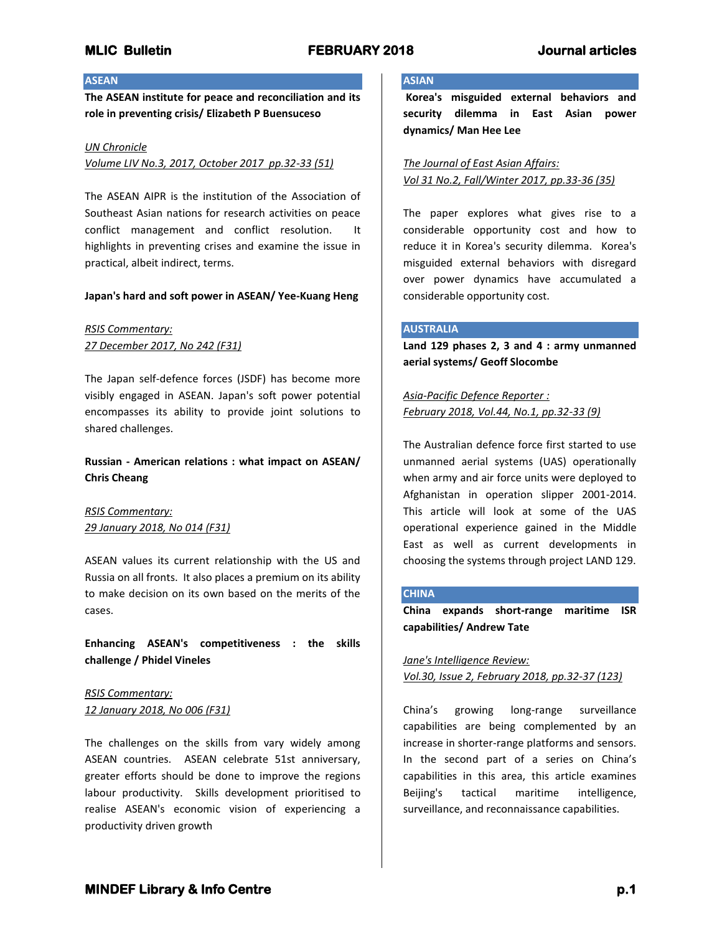## **ASEAN**

**The ASEAN institute for peace and reconciliation and its role in preventing crisis/ Elizabeth P Buensuceso**

#### *UN Chronicle*

*Volume LIV No.3, 2017, October 2017 pp.32-33 (51)*

The ASEAN AIPR is the institution of the Association of Southeast Asian nations for research activities on peace conflict management and conflict resolution. It highlights in preventing crises and examine the issue in practical, albeit indirect, terms.

### **Japan's hard and soft power in ASEAN/ Yee-Kuang Heng**

*RSIS Commentary: 27 December 2017, No 242 (F31)*

The Japan self-defence forces (JSDF) has become more visibly engaged in ASEAN. Japan's soft power potential encompasses its ability to provide joint solutions to shared challenges.

**Russian - American relations : what impact on ASEAN/ Chris Cheang**

*RSIS Commentary: 29 January 2018, No 014 (F31)*

ASEAN values its current relationship with the US and Russia on all fronts. It also places a premium on its ability to make decision on its own based on the merits of the cases.

**Enhancing ASEAN's competitiveness : the skills challenge / Phidel Vineles**

*RSIS Commentary: 12 January 2018, No 006 (F31)*

The challenges on the skills from vary widely among ASEAN countries. ASEAN celebrate 51st anniversary, greater efforts should be done to improve the regions labour productivity. Skills development prioritised to realise ASEAN's economic vision of experiencing a productivity driven growth

#### **ASIAN**

**Korea's misguided external behaviors and security dilemma in East Asian power dynamics/ Man Hee Lee**

*The Journal of East Asian Affairs: Vol 31 No.2, Fall/Winter 2017, pp.33-36 (35)*

The paper explores what gives rise to a considerable opportunity cost and how to reduce it in Korea's security dilemma. Korea's misguided external behaviors with disregard over power dynamics have accumulated a considerable opportunity cost.

#### **AUSTRALIA**

**Land 129 phases 2, 3 and 4 : army unmanned aerial systems/ Geoff Slocombe**

*Asia-Pacific Defence Reporter : February 2018, Vol.44, No.1, pp.32-33 (9)*

The Australian defence force first started to use unmanned aerial systems (UAS) operationally when army and air force units were deployed to Afghanistan in operation slipper 2001-2014. This article will look at some of the UAS operational experience gained in the Middle East as well as current developments in choosing the systems through project LAND 129.

#### **CHINA**

**China expands short-range maritime ISR capabilities/ Andrew Tate**

*Jane's Intelligence Review: Vol.30, Issue 2, February 2018, pp.32-37 (123)*

China's growing long-range surveillance capabilities are being complemented by an increase in shorter-range platforms and sensors. In the second part of a series on China's capabilities in this area, this article examines Beijing's tactical maritime intelligence, surveillance, and reconnaissance capabilities.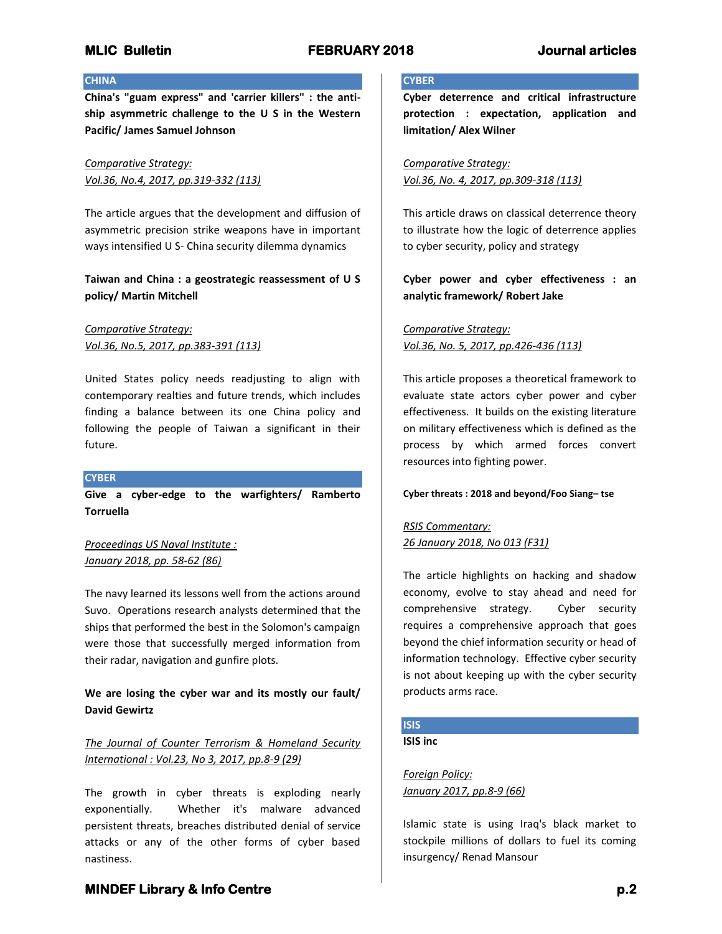### **CHINA**

**China's "guam express" and 'carrier killers" : the antiship asymmetric challenge to the U S in the Western Pacific/ James Samuel Johnson**

*Comparative Strategy: Vol.36, No.4, 2017, pp.319-332 (113)*

The article argues that the development and diffusion of asymmetric precision strike weapons have in important ways intensified U S- China security dilemma dynamics

## **Taiwan and China : a geostrategic reassessment of U S policy/ Martin Mitchell**

*Comparative Strategy: Vol.36, No.5, 2017, pp.383-391 (113)*

United States policy needs readjusting to align with contemporary realties and future trends, which includes finding a balance between its one China policy and following the people of Taiwan a significant in their future.

### **CYBER**

**Give a cyber-edge to the warfighters/ Ramberto Torruella**

*Proceedings US Naval Institute : January 2018, pp. 58-62 (86)*

The navy learned its lessons well from the actions around Suvo. Operations research analysts determined that the ships that performed the best in the Solomon's campaign were those that successfully merged information from their radar, navigation and gunfire plots.

## **We are losing the cyber war and its mostly our fault/ David Gewirtz**

*The Journal of Counter Terrorism & Homeland Security International : Vol.23, No 3, 2017, pp.8-9 (29)*

The growth in cyber threats is exploding nearly exponentially. Whether it's malware advanced persistent threats, breaches distributed denial of service attacks or any of the other forms of cyber based nastiness.

### **CYBER**

**Cyber deterrence and critical infrastructure protection : expectation, application and limitation/ Alex Wilner**

*Comparative Strategy: Vol.36, No. 4, 2017, pp.309-318 (113)*

This article draws on classical deterrence theory to illustrate how the logic of deterrence applies to cyber security, policy and strategy

## **Cyber power and cyber effectiveness : an analytic framework/ Robert Jake**

*Comparative Strategy: Vol.36, No. 5, 2017, pp.426-436 (113)*

This article proposes a theoretical framework to evaluate state actors cyber power and cyber effectiveness. It builds on the existing literature on military effectiveness which is defined as the process by which armed forces convert resources into fighting power.

### **Cyber threats : 2018 and beyond/Foo Siang– tse**

*RSIS Commentary: 26 January 2018, No 013 (F31)*

The article highlights on hacking and shadow economy, evolve to stay ahead and need for comprehensive strategy. Cyber security requires a comprehensive approach that goes beyond the chief information security or head of information technology. Effective cyber security is not about keeping up with the cyber security products arms race.

# **ISIS**

**ISIS inc**

*Foreign Policy: January 2017, pp.8-9 (66)*

Islamic state is using Iraq's black market to stockpile millions of dollars to fuel its coming insurgency/ Renad Mansour

# **MINDEF Library & Info Centre** *p.2* **p.2**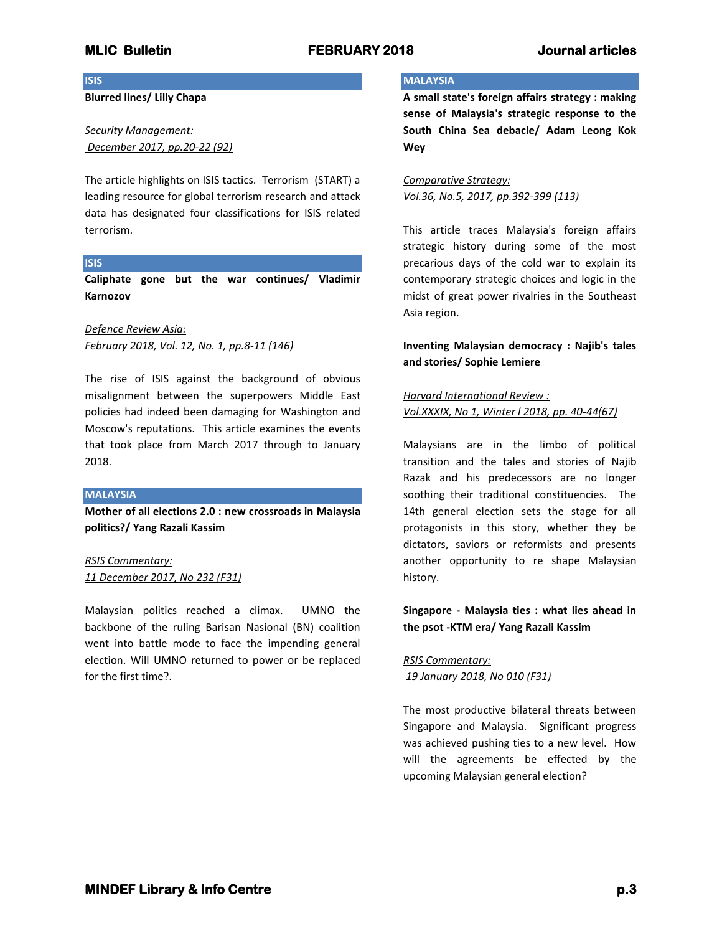**ISIS**

**Blurred lines/ Lilly Chapa**

*Security Management: December 2017, pp.20-22 (92)*

The article highlights on ISIS tactics. Terrorism (START) a leading resource for global terrorism research and attack data has designated four classifications for ISIS related terrorism.

## **ISIS**

**Caliphate gone but the war continues/ Vladimir Karnozov**

*Defence Review Asia: February 2018, Vol. 12, No. 1, pp.8-11 (146)*

The rise of ISIS against the background of obvious misalignment between the superpowers Middle East policies had indeed been damaging for Washington and Moscow's reputations. This article examines the events that took place from March 2017 through to January 2018.

### **MALAYSIA**

**Mother of all elections 2.0 : new crossroads in Malaysia politics?/ Yang Razali Kassim**

*RSIS Commentary: 11 December 2017, No 232 (F31)*

Malaysian politics reached a climax. UMNO the backbone of the ruling Barisan Nasional (BN) coalition went into battle mode to face the impending general election. Will UMNO returned to power or be replaced for the first time?.

## **MALAYSIA**

**A small state's foreign affairs strategy : making sense of Malaysia's strategic response to the South China Sea debacle/ Adam Leong Kok Wey**

*Comparative Strategy: Vol.36, No.5, 2017, pp.392-399 (113)*

This article traces Malaysia's foreign affairs strategic history during some of the most precarious days of the cold war to explain its contemporary strategic choices and logic in the midst of great power rivalries in the Southeast Asia region.

**Inventing Malaysian democracy : Najib's tales and stories/ Sophie Lemiere**

*Harvard International Review : Vol.XXXIX, No 1, Winter l 2018, pp. 40-44(67)*

Malaysians are in the limbo of political transition and the tales and stories of Najib Razak and his predecessors are no longer soothing their traditional constituencies. The 14th general election sets the stage for all protagonists in this story, whether they be dictators, saviors or reformists and presents another opportunity to re shape Malaysian history.

**Singapore - Malaysia ties : what lies ahead in the psot -KTM era/ Yang Razali Kassim**

*RSIS Commentary: 19 January 2018, No 010 (F31)*

The most productive bilateral threats between Singapore and Malaysia. Significant progress was achieved pushing ties to a new level. How will the agreements be effected by the upcoming Malaysian general election?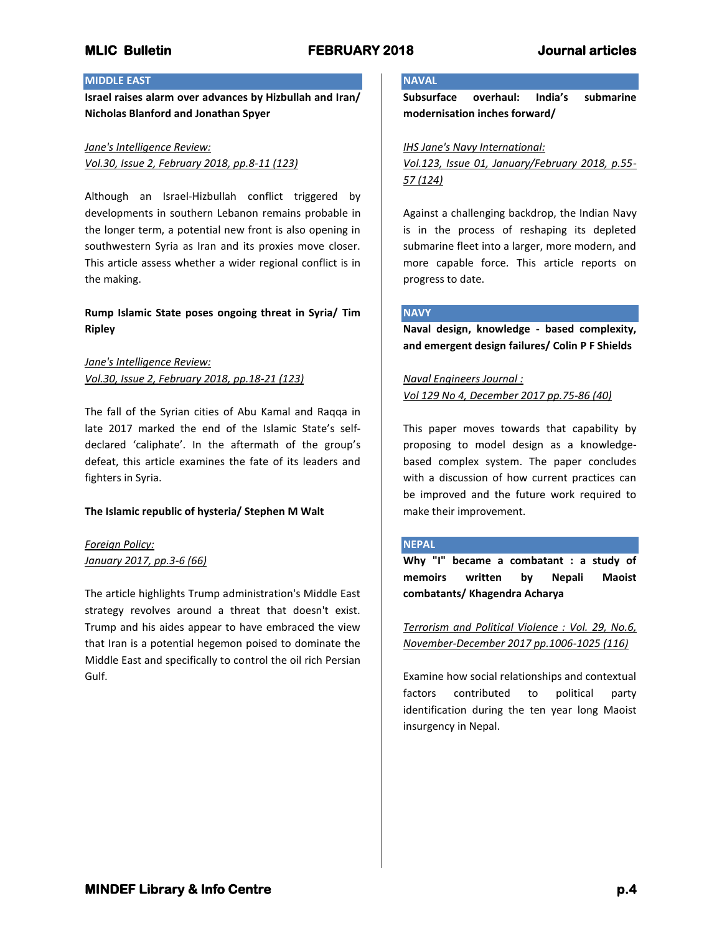## **MIDDLE EAST**

**Israel raises alarm over advances by Hizbullah and Iran/ Nicholas Blanford and Jonathan Spyer**

### *Jane's Intelligence Review:*

*Vol.30, Issue 2, February 2018, pp.8-11 (123)*

Although an Israel-Hizbullah conflict triggered by developments in southern Lebanon remains probable in the longer term, a potential new front is also opening in southwestern Syria as Iran and its proxies move closer. This article assess whether a wider regional conflict is in the making.

## **Rump Islamic State poses ongoing threat in Syria/ Tim Ripley**

## *Jane's Intelligence Review: Vol.30, Issue 2, February 2018, pp.18-21 (123)*

The fall of the Syrian cities of Abu Kamal and Raqqa in late 2017 marked the end of the Islamic State's selfdeclared 'caliphate'. In the aftermath of the group's defeat, this article examines the fate of its leaders and fighters in Syria.

## **The Islamic republic of hysteria/ Stephen M Walt**

## *Foreign Policy: January 2017, pp.3-6 (66)*

The article highlights Trump administration's Middle East strategy revolves around a threat that doesn't exist. Trump and his aides appear to have embraced the view that Iran is a potential hegemon poised to dominate the Middle East and specifically to control the oil rich Persian Gulf.

## **NAVAL**

**Subsurface overhaul: India's submarine modernisation inches forward/** 

## *IHS Jane's Navy International:*

*Vol.123, Issue 01, January/February 2018, p.55- 57 (124)*

Against a challenging backdrop, the Indian Navy is in the process of reshaping its depleted submarine fleet into a larger, more modern, and more capable force. This article reports on progress to date.

## **NAVY**

**Naval design, knowledge - based complexity, and emergent design failures/ Colin P F Shields**

*Naval Engineers Journal : Vol 129 No 4, December 2017 pp.75-86 (40)*

This paper moves towards that capability by proposing to model design as a knowledgebased complex system. The paper concludes with a discussion of how current practices can be improved and the future work required to make their improvement.

## **NEPAL**

**Why "I" became a combatant : a study of memoirs written by Nepali Maoist combatants/ Khagendra Acharya**

*Terrorism and Political Violence : Vol. 29, No.6, November-December 2017 pp.1006-1025 (116)*

Examine how social relationships and contextual factors contributed to political party identification during the ten year long Maoist insurgency in Nepal.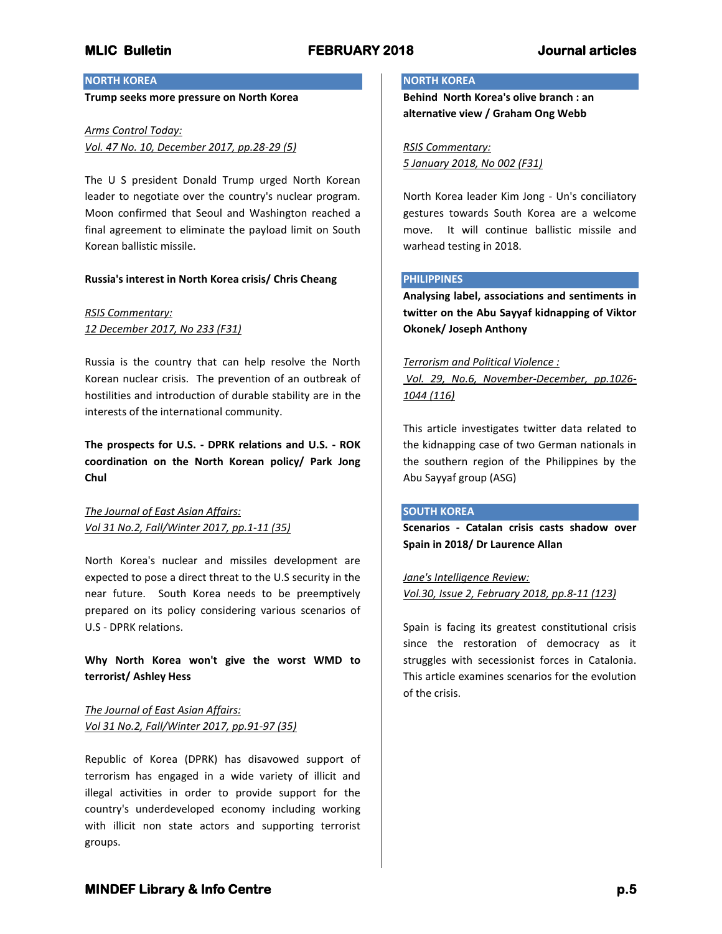### **NORTH KOREA**

**Trump seeks more pressure on North Korea**

## *Arms Control Today: Vol. 47 No. 10, December 2017, pp.28-29 (5)*

The U S president Donald Trump urged North Korean leader to negotiate over the country's nuclear program. Moon confirmed that Seoul and Washington reached a final agreement to eliminate the payload limit on South Korean ballistic missile.

### **Russia's interest in North Korea crisis/ Chris Cheang**

## *RSIS Commentary: 12 December 2017, No 233 (F31)*

Russia is the country that can help resolve the North Korean nuclear crisis. The prevention of an outbreak of hostilities and introduction of durable stability are in the interests of the international community.

**The prospects for U.S. - DPRK relations and U.S. - ROK coordination on the North Korean policy/ Park Jong Chul**

*The Journal of East Asian Affairs: Vol 31 No.2, Fall/Winter 2017, pp.1-11 (35)*

North Korea's nuclear and missiles development are expected to pose a direct threat to the U.S security in the near future. South Korea needs to be preemptively prepared on its policy considering various scenarios of U.S - DPRK relations.

**Why North Korea won't give the worst WMD to terrorist/ Ashley Hess** 

*The Journal of East Asian Affairs: Vol 31 No.2, Fall/Winter 2017, pp.91-97 (35)*

Republic of Korea (DPRK) has disavowed support of terrorism has engaged in a wide variety of illicit and illegal activities in order to provide support for the country's underdeveloped economy including working with illicit non state actors and supporting terrorist groups.

### **NORTH KOREA**

**Behind North Korea's olive branch : an alternative view / Graham Ong Webb**

*RSIS Commentary: 5 January 2018, No 002 (F31)*

North Korea leader Kim Jong - Un's conciliatory gestures towards South Korea are a welcome move. It will continue ballistic missile and warhead testing in 2018.

#### **PHILIPPINES**

**Analysing label, associations and sentiments in twitter on the Abu Sayyaf kidnapping of Viktor Okonek/ Joseph Anthony**

## *Terrorism and Political Violence :*

*Vol. 29, No.6, November-December, pp.1026- 1044 (116)*

This article investigates twitter data related to the kidnapping case of two German nationals in the southern region of the Philippines by the Abu Sayyaf group (ASG)

### **SOUTH KOREA**

**Scenarios - Catalan crisis casts shadow over Spain in 2018/ Dr Laurence Allan**

*Jane's Intelligence Review: Vol.30, Issue 2, February 2018, pp.8-11 (123)*

Spain is facing its greatest constitutional crisis since the restoration of democracy as it struggles with secessionist forces in Catalonia. This article examines scenarios for the evolution of the crisis.